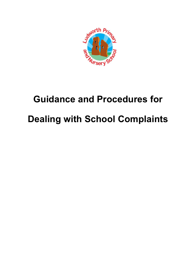

# **Guidance and Procedures for Dealing with School Complaints**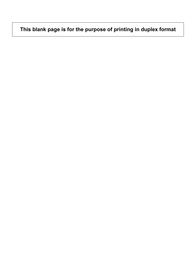# **This blank page is for the purpose of printing in duplex format**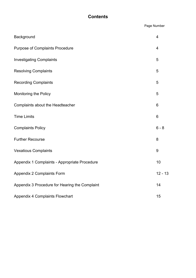## **Contents**

Page Number

| Background                                     | $\overline{4}$ |
|------------------------------------------------|----------------|
| <b>Purpose of Complaints Procedure</b>         | 4              |
| <b>Investigating Complaints</b>                | 5              |
| <b>Resolving Complaints</b>                    | 5              |
| <b>Recording Complaints</b>                    | 5              |
| <b>Monitoring the Policy</b>                   | 5              |
| Complaints about the Headteacher               | 6              |
| <b>Time Limits</b>                             | 6              |
| <b>Complaints Policy</b>                       | $6 - 8$        |
| <b>Further Recourse</b>                        | 8              |
| <b>Vexatious Complaints</b>                    | 9              |
| Appendix 1 Complaints - Appropriate Procedure  | 10             |
| <b>Appendix 2 Complaints Form</b>              | $12 - 13$      |
| Appendix 3 Procedure for Hearing the Complaint | 14             |
| <b>Appendix 4 Complaints Flowchart</b>         | 15             |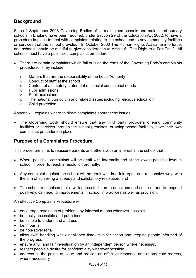## **Background**

Since 1 September 2003 Governing Bodies of all maintained schools and maintained nursery schools in England have been required, under Section 29 of the Education Act 2002, to have a procedure in place to deal with complaints relating to the school and to any community facilities or services that the school provides. In October 2000 The Human Rights Act came into force, and schools should be mindful to give consideration to Article 6, "The Right to a Fair Trial". All schools must have a publicised complaints procedure.

- There are certain complaints which fall outside the remit of the Governing Body's complaints procedure. They include:
	- o Matters that are the responsibility of the Local Authority
	- o Conduct of staff at the school
	- o Content of a statutory statement of special educational needs
	- o Pupil admissions
	- o Pupil exclusions
	- o The national curriculum and related issues including religious education
	- o Child protection

Appendix 1 explains where to direct complaints about these issues.

• The Governing Body should ensure that any third party providers offering community facilities or services through the school premises, or using school facilities, have their own complaints procedure in place.

## **Purpose of a Complaints Procedure**

This procedure aims to reassure parents and others with an interest in the school that:

- Where possible, complaints will be dealt with informally and at the lowest possible level in school in order to reach a resolution promptly;
- Any complaint against the school will be dealt with in a fair, open and responsive way, with the aim of achieving a speedy and satisfactory resolution; and
- The school recognises that a willingness to listen to questions and criticism and to respond positively, can lead to improvements in school in practices as well as provision.

An effective Complaints Procedure will:

- encourage resolution of problems by informal means wherever possible
- be easily accessible and publicised
- be simple to understand and use
- be impartial
- be non-adversarial
- allow swift handling with established time-limits for action and keeping people informed of the progress
- ensure a full and fair investigation by an independent person where necessary
- respect people's desire for confidentiality wherever possible
- address all the points at issue and provide an effective response and appropriate redress, where necessary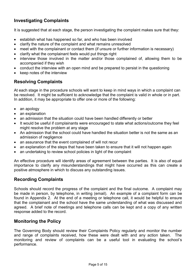## **Investigating Complaints**

It is suggested that at each stage, the person investigating the complaint makes sure that they:

- establish what has happened so far, and who has been involved
- clarify the nature of the complaint and what remains unresolved
- meet with the complainant or contact them (if unsure or further information is necessary)
- clarify what the complainant feels would put things right
- interview those involved in the matter and/or those complained of, allowing them to be accompanied if they wish
- conduct the interview with an open mind and be prepared to persist in the questioning
- keep notes of the interview

## **Resolving Complaints**

At each stage in the procedure schools will want to keep in mind ways in which a complaint can be resolved. It might be sufficient to acknowledge that the complaint is valid in whole or in part. In addition, it may be appropriate to offer one or more of the following:

- an apology
- an explanation
- an admission that the situation could have been handled differently or better
- It would be useful if complainants were encouraged to state what actions/outcome they feel might resolve the problem at any stage
- An admission that the school could have handled the situation better is not the same as an admission of negligence
- an assurance that the event complained of will not recur
- an explanation of the steps that have been taken to ensure that it will not happen again
- an undertaking to review school policies in light of the complaint

An effective procedure will identify areas of agreement between the parties. It is also of equal importance to clarify any misunderstandings that might have occurred as this can create a positive atmosphere in which to discuss any outstanding issues.

## **Recording Complaints**

Schools should record the progress of the complaint and the final outcome. A complaint may be made in person, by telephone, in writing (email). An example of a complaint form can be found in Appendix 2. At the end of a meeting or telephone call, it would be helpful to ensure that the complainant and the school have the same understanding of what was discussed and agreed. A brief note of meetings and telephone calls can be kept and a copy of any written response added to the record.

## **Monitoring the Policy**

The Governing Body should review their Complaints Policy regularly and monitor the number and range of complaints received, how these were dealt with and any action taken. The monitoring and review of complaints can be a useful tool in evaluating the school's performance.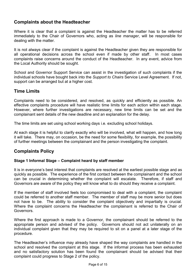## **Complaints about the Headteacher**

Where it is clear that a complaint is against the Headteacher the matter has to be referred immediately to the Chair of Governors who, acting as *line manager*, will be responsible for dealing with the matter.

It is not always clear if the complaint is against the Headteacher given they are responsible for all operational decisions across the school even if made by other staff. In most cases complaints raise concerns around the conduct of the Headteacher. In any event, advice from the Local Authority should be sought.

School and Governor Support Service can assist in the investigation of such complaints if the individual schools have bought back into the *Support to Chairs* Service Level Agreement. If not, support can be arranged but at a higher cost.

## **Time Limits**

Complaints need to be considered, and resolved, as quickly and efficiently as possible. An effective complaints procedure will have realistic time limits for each action within each stage. However, where further investigations are necessary, new time limits can be set and the complainant sent details of the new deadline and an explanation for the delay.

The time limits are set using school working days i.e. excluding school holidays.

At each stage it is helpful to clarify exactly who will be involved, what will happen, and how long it will take. There may, on occasion, be the need for some flexibility, for example, the possibility of further meetings between the complainant and the person investigating the complaint.

## **Complaints Policy**

#### **Stage 1 Informal Stage – Complaint heard by staff member**

It is in everyone's best interest that complaints are resolved at the earliest possible stage and as quickly as possible. The experience of the first contact between the complainant and the school can be crucial in determining whether the complaint will escalate. Therefore, if staff and Governors are aware of the policy they will know what to do should they receive a complaint.

If the member of staff involved feels too compromised to deal with a complaint, the complaint could be referred to another staff member. The member of staff may be more senior but does not have to be. The ability to consider the complaint objectively and impartially is crucial. Where the complaint concerns the Headteacher the complainant is referred to the Chair of Governors.

Where the first approach is made to a Governor, the complainant should be referred to the appropriate person and advised of the policy. Governors should not act unilaterally on an individual complaint given that they may be required to sit on a panel at a later stage of the procedure.

The Headteacher's influence may already have shaped the way complaints are handled in the school and resolved the complaint at this stage. If the informal process has been exhausted and no satisfactory solution has been found the complainant should be advised that their complaint could progress to Stage 2 of the policy.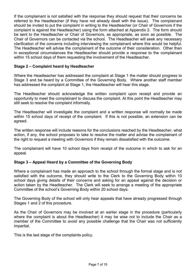If the complainant is not satisfied with the response they should request that their concerns be referred to the Headteacher (if they have not already dealt with the issue). The complainant should be invited to put the complaint in writing to the Headteacher (or Chair of Governors if the complaint is against the Headteacher) using the form attached at Appendix 2. The form should be sent to the Headteacher or Chair of Governors, as appropriate, as soon as possible. The Chair of Governors can be contacted via the school. The Headteacher will seek any necessary clarification of the concerns including interviewing the complainant where this would be helpful. The Headteacher will advise the complainant of the outcome of their consideration. Other than in exceptional circumstances the Headteacher should provide a response to the complainant within 15 school days of them requesting the involvement of the Headteacher.

#### **Stage 2 – Complaint heard by Headteacher**

Where the Headteacher has addressed the complaint at Stage 1 the matter should progress to Stage 3 and be heard by a Committee of the Governing Body. Where another staff member has addressed the complaint at Stage 1, the Headteacher will hear this stage.

The Headteacher should acknowledge the written complaint upon receipt and provide an opportunity to meet the complainant to discuss the complaint. At this point the Headteacher may still seek to resolve the complaint informally.

The Headteacher will investigate the complaint and a written response will normally be made within 15 school days of receipt of the complaint. If this is not possible, an extension can be agreed.

The written response will include reasons for the conclusions reached by the Headteacher, what action, if any, the school proposes to take to resolve the matter and advise the complainant of the right to request a meeting with Governors if they remain dissatisfied with the outcome.

The complainant will have 10 school days from receipt of the outcome in which to ask for an appeal.

#### **Stage 3 – Appeal Heard by a Committee of the Governing Body**

Where a complainant has made an approach to the school through the formal stage and is not satisfied with the outcome, they should write to the Clerk to the Governing Body within 10 school days giving details of their concerns and asking for an appeal against the decision or action taken by the Headteacher. The Clerk will seek to arrange a meeting of the appropriate Committee of the school's Governing Body within 20 school days.

The Governing Body of the school will only hear appeals that have already progressed through Stages 1 and 2 of this procedure.

As the Chair of Governors may be involved at an earlier stage in the procedure (particularly where the complaint is about the Headteacher) it may be wise not to include the Chair as a member of the Committee to avoid any possible challenge that the Chair was not sufficiently impartial.

This is the last stage of the complaints policy.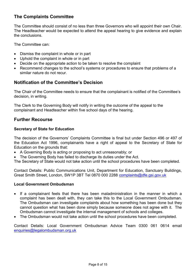## **The Complaints Committee**

The Committee should consist of no less than three Governors who will appoint their own Chair. The Headteacher would be expected to attend the appeal hearing to give evidence and explain the conclusions.

The Committee can:

- Dismiss the complaint in whole or in part
- Uphold the complaint in whole or in part
- Decide on the appropriate action to be taken to resolve the complaint
- Recommend changes to the school's systems or procedures to ensure that problems of a similar nature do not recur.

## **Notification of the Committee's Decision**

The Chair of the Committee needs to ensure that the complainant is notified of the Committee's decision, in writing.

The Clerk to the Governing Body will notify in writing the outcome of the appeal to the complainant and Headteacher within five school days of the hearing.

## **Further Recourse**

#### **Secretary of State for Education**

The decision of the Governors' Complaints Committee is final but under Section 496 or 497 of the Education Act 1996, complainants have a right of appeal to the Secretary of State for Education on the grounds that:

- A Governing Body is acting or proposing to act unreasonably; or
- The Governing Body has failed to discharge its duties under the Act.

The Secretary of State would not take action until the school procedures have been completed.

Contact Details: Public Communications Unit, Department for Education, Sanctuary Buildings, Great Smith Street, London, SW1P 3BT Tel 0870 000 2288 [complaints@dfe.gsi.gov.uk](mailto:complaints@dfe.gsi.gov.uk)

#### **Local Government Ombudsman**

- If a complainant feels that there has been maladministration in the manner in which a complaint has been dealt with, they can take this to the Local Government Ombudsman. The Ombudsman can investigate complaints about how something has been done but they cannot question what has been done simply because someone does not agree with it. The Ombudsman cannot investigate the internal management of schools and colleges.
- The Ombudsman would not take action until the school procedures have been completed.

Contact Details: Local Government Ombudsman Advice Team 0300 061 0614 email [enquiries@legalombudsman.org.uk](mailto:enquiries@legalombudsman.org.uk)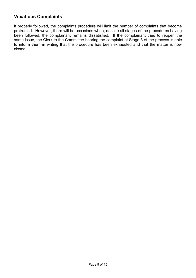## **Vexatious Complaints**

If properly followed, the complaints procedure will limit the number of complaints that become protracted. However, there will be occasions when, despite all stages of the procedures having been followed, the complainant remains dissatisfied. If the complainant tries to reopen the same issue, the Clerk to the Committee hearing the complaint at Stage 3 of the process is able to inform them in writing that the procedure has been exhausted and that the matter is now closed.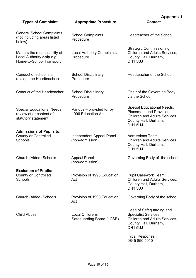|                                                                                        |                                                 | <b>Appendix 1</b>                                                                                                                        |  |
|----------------------------------------------------------------------------------------|-------------------------------------------------|------------------------------------------------------------------------------------------------------------------------------------------|--|
| <b>Types of Complaint</b>                                                              | <b>Appropriate Procedure</b>                    | <b>Contact</b>                                                                                                                           |  |
| <b>General School Complaints</b><br>(not including areas listed<br>below)              | <b>School Complaints</b><br>Procedure           | Headteacher of the School                                                                                                                |  |
| Matters the responsibility of<br>Local Authority only e.g.<br>Home-to-School Transport | <b>Local Authority Complaints</b><br>Procedure  | <b>Strategic Commissioning,</b><br>Children and Adults Services,<br>County Hall, Durham,<br><b>DH1 5UJ</b>                               |  |
| Conduct of school staff<br>(except the Headteacher)                                    | <b>School Disciplinary</b><br>Procedure         | Headteacher of the School                                                                                                                |  |
| Conduct of the Headteacher                                                             | <b>School Disciplinary</b><br>Procedure         | Chair of the Governing Body<br>via the School                                                                                            |  |
| <b>Special Educational Needs</b><br>review of or content of<br>statutory statement     | Various – provided for by<br>1996 Education Act | <b>Special Educational Needs:</b><br>Placement and Provision,<br>Children and Adults Services,<br>County Hall, Durham,<br><b>DH1 5UJ</b> |  |
| <b>Admissions of Pupils to:</b><br><b>County or Controlled</b><br>Schools              | Independent Appeal Panel<br>(non-admission)     | Admissions Team,<br>Children and Adults Services,<br>County Hall, Durham,<br><b>DH1 5UJ</b>                                              |  |
| Church (Aided) Schools                                                                 | <b>Appeal Panel</b><br>(non-admission)          | Governing Body of the school                                                                                                             |  |
| <b>Exclusion of Pupils:</b><br><b>County or Controlled</b><br>Schools                  | Provision of 1993 Education<br>Act              | Pupil Casework Team,<br><b>Children and Adults Services,</b><br>County Hall, Durham,<br><b>DH1 5UJ</b>                                   |  |
| Church (Aided) Schools                                                                 | Provision of 1993 Education<br>Act              | Governing Body of the school                                                                                                             |  |
| <b>Child Abuse</b>                                                                     | Local Childrens'<br>Safeguarding Board (LCSB)   | Head of Safeguarding and<br><b>Specialist Services,</b><br>Children and Adults Services,<br>County Hall, Durham,<br><b>DH1 5UJ</b>       |  |
|                                                                                        |                                                 | Initial Response:<br>0845 850 5010                                                                                                       |  |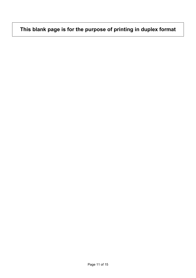## **This blank page is for the purpose of printing in duplex format**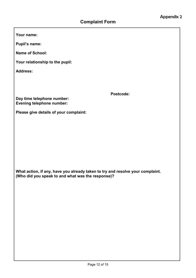**Your name:** 

**Pupil's name:** 

**Name of School:** 

**Your relationship to the pupil:** 

**Address:** 

 **Postcode:** 

**Day time telephone number: Evening telephone number:** 

**Please give details of your complaint:** 

**What action, if any, have you already taken to try and resolve your complaint. (Who did you speak to and what was the response)?**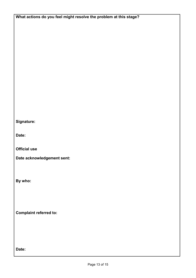**What actions do you feel might resolve the problem at this stage?** 

**Signature:** 

**Date:** 

**Official use** 

**Date acknowledgement sent:** 

**By who:** 

**Complaint referred to:** 

**Date:**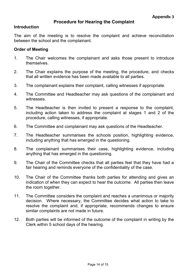#### **Procedure for Hearing the Complaint**

#### **Introduction**

The aim of the meeting is to resolve the complaint and achieve reconciliation between the school and the complainant.

#### **Order of Meeting**

- 1. The Chair welcomes the complainant and asks those present to introduce themselves.
- 2. The Chair explains the purpose of the meeting, the procedure, and checks that all written evidence has been made available to all parties.
- 3. The complainant explains their complaint, calling witnesses if appropriate.
- 4. The Committee and Headteacher may ask questions of the complainant and witnesses.
- 5. The Headteacher is then invited to present a response to the complaint, including action taken to address the complaint at stages 1 and 2 of the procedure, calling witnesses, if appropriate.
- 6. The Committee and complainant may ask questions of the Headteacher.
- 7. The Headteacher summarises the schools position, highlighting evidence, including anything that has emerged in the questioning.
- 8. The complainant summarises their case, highlighting evidence, including anything that has emerged in the questioning.
- 9. The Chair of the Committee checks that all parties feel that they have had a fair hearing and reminds everyone of the confidentiality of the case.
- 10. The Chair of the Committee thanks both parties for attending and gives an indication of when they can expect to hear the outcome. All parties then leave the room together.
- 11. The Committee considers the complaint and reaches a unanimous or majority decision. Where necessary, the Committee decides what action to take to resolve the complaint and, if appropriate, recommends changes to ensure similar complaints are not made in future.
- 12. Both parties will be informed of the outcome of the complaint in writing by the Clerk within 5 school days of the hearing.